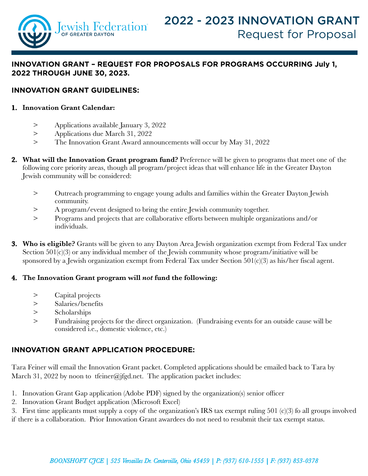

# **INNOVATION GRANT – REQUEST FOR PROPOSALS FOR PROGRAmS OccURRING July 1, 2022 THROUGH JUNE 30, 2023.**

#### **Innovation Grant Guidelines:**

#### **1. Innovation Grant Calendar:**

- > Applications available January 3, 2022
- > Applications due March 31, 2022
- > The Innovation Grant Award announcements will occur by May 31, 2022
- **2. What will the Innovation Grant program fund?** Preference will be given to programs that meet one of the following core priority areas, though all program/project ideas that will enhance life in the Greater Dayton Jewish community will be considered:
	- > Outreach programming to engage young adults and families within the Greater Dayton Jewish community.
	- > A program/event designed to bring the entire Jewish community together.
	- > Programs and projects that are collaborative efforts between multiple organizations and/or individuals.
- **3. Who is eligible?** Grants will be given to any Dayton Area Jewish organization exempt from Federal Tax under Section 501(c)(3) or any individual member of the Jewish community whose program/initiative will be sponsored by a Jewish organization exempt from Federal Tax under Section 501(c)(3) as his/her fiscal agent.

#### **4. The Innovation Grant program will** *not* **fund the following:**

- > Capital projects
- > Salaries/benefits
- > Scholarships
- > Fundraising projects for the direct organization. (Fundraising events for an outside cause will be considered i.e., domestic violence, etc.)

## **INNOVATION GRANT APPLICATION PROCEDURE:**

Tara Feiner will email the Innovation Grant packet. Completed applications should be emailed back to Tara by March 31, 2022 by noon to tfeiner@jfgd.net. The application packet includes:

- 1. Innovation Grant Gap application (Adobe PDF) signed by the organization(s) senior officer
- 2. Innovation Grant Budget application (Microsoft Excel)

3. First time applicants must supply a copy of the organization's IRS tax exempt ruling 501 (c)(3) fo all groups involved if there is a collaboration. Prior Innovation Grant awardees do not need to resubmit their tax exempt status.